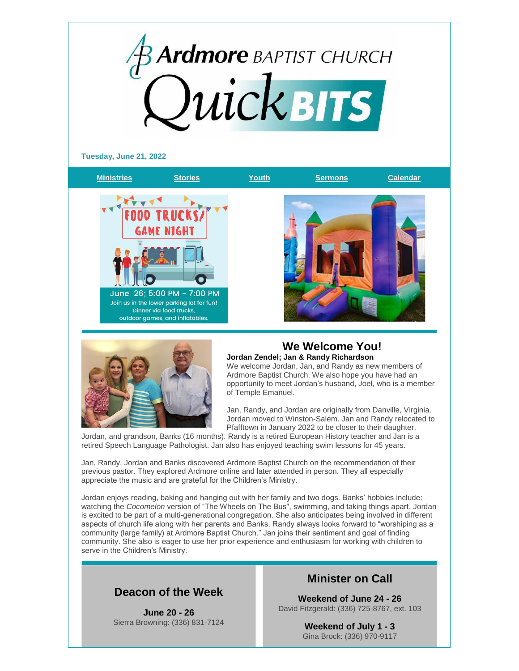



### **We Welcome You! Jordan Zendel; Jan & Randy Richardson**

We welcome Jordan, Jan, and Randy as new members of Ardmore Baptist Church. We also hope you have had an opportunity to meet Jordan's husband, Joel, who is a member of Temple Emanuel.

Jan, Randy, and Jordan are originally from Danville, Virginia. Jordan moved to Winston-Salem. Jan and Randy relocated to Pfafftown in January 2022 to be closer to their daughter,

Jordan, and grandson, Banks (16 months). Randy is a retired European History teacher and Jan is a retired Speech Language Pathologist. Jan also has enjoyed teaching swim lessons for 45 years.

Jan, Randy, Jordan and Banks discovered Ardmore Baptist Church on the recommendation of their previous pastor. They explored Ardmore online and later attended in person. They all especially appreciate the music and are grateful for the Children's Ministry.

Jordan enjoys reading, baking and hanging out with her family and two dogs. Banks' hobbies include: watching the *Cocomelon* version of "The Wheels on The Bus", swimming, and taking things apart. Jordan is excited to be part of a multi-generational congregation. She also anticipates being involved in different aspects of church life along with her parents and Banks. Randy always looks forward to "worshiping as a community (large family) at Ardmore Baptist Church." Jan joins their sentiment and goal of finding community. She also is eager to use her prior experience and enthusiasm for working with children to serve in the Children's Ministry.

### **Deacon of the Week**

**June 20 - 26** Sierra Browning: (336) 831-7124

### **Minister on Call**

**Weekend of June 24 - 26** David Fitzgerald: (336) 725-8767, ext. 103

> **Weekend of July 1 - 3** Gina Brock: (336) 970-9117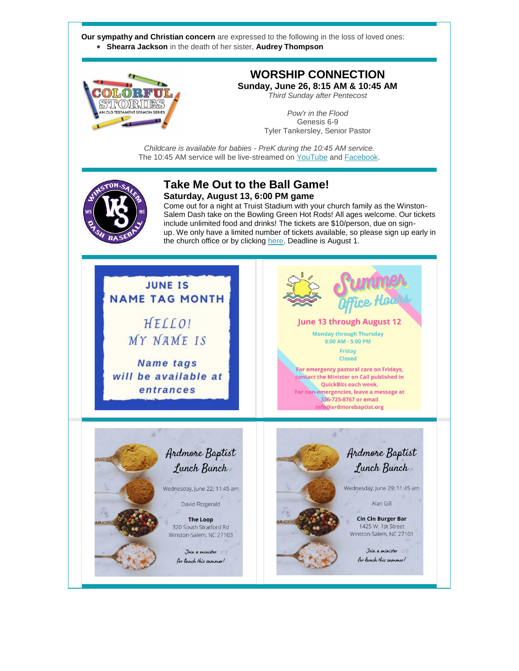**Our sympathy and Christian concern** are expressed to the following in the loss of loved ones: **Shearra Jackson** in the death of her sister, **Audrey Thompson**



# **WORSHIP CONNECTION**

**Sunday, June 26, 8:15 AM & 10:45 AM** *Third Sunday after Pentecost*

> *Pow'r in the Flood* Genesis 6-9 Tyler Tankersley, Senior Pastor

*Childcare is available for babies - PreK during the 10:45 AM service.* The 10:45 AM service will be live-streamed on [YouTube](https://www.youtube.com/channel/UCUuNnRMm4tv2qw3UFBykw2w) an[d Facebook.](http://www.facebook.com/ArdmoreBaptistChurch)



#### **Take Me Out to the Ball Game! Saturday, August 13, 6:00 PM game**

Come out for a night at Truist Stadium with your church family as the Winston-Salem Dash take on the Bowling Green Hot Rods! All ages welcome. Our tickets include unlimited food and drinks! The tickets are \$10/person, due on signup. We only have a limited number of tickets available, so please sign up early in the church office or by clicking [here.](https://bit.ly/DashGame) Deadline is August 1.

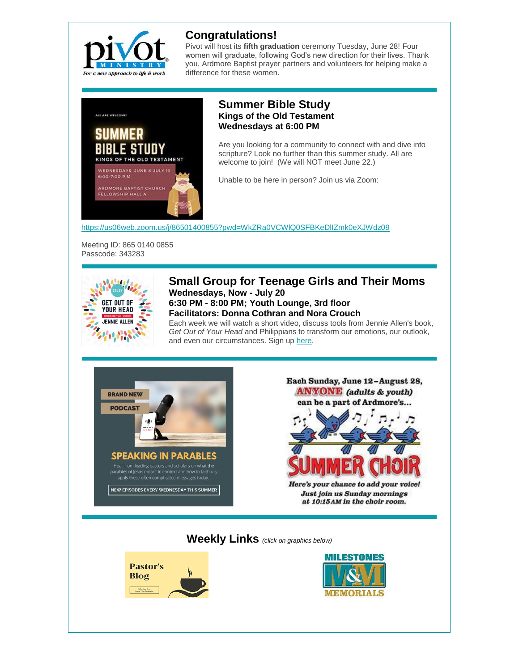

# **Congratulations!**

Pivot will host its **fifth graduation** ceremony Tuesday, June 28! Four women will graduate, following God's new direction for their lives. Thank you, Ardmore Baptist prayer partners and volunteers for helping make a difference for these women.



#### **Summer Bible Study Kings of the Old Testament Wednesdays at 6:00 PM**

Are you looking for a community to connect with and dive into scripture? Look no further than this summer study. All are welcome to join! (We will NOT meet June 22.)

Unable to be here in person? Join us via Zoom:

<https://us06web.zoom.us/j/86501400855?pwd=WkZRa0VCWlQ0SFBKeDlIZmk0eXJWdz09>

Meeting ID: 865 0140 0855 Passcode: 343283



#### **Small Group for Teenage Girls and Their Moms Wednesdays, Now - July 20 6:30 PM - 8:00 PM; Youth Lounge, 3rd floor Facilitators: Donna Cothran and Nora Crouch**

Each week we will watch a short video, discuss tools from Jennie Allen's book, *Get Out of Your Head* and Philippians to transform our emotions, our outlook, and even our circumstances. Sign up [here.](https://abcyouth.corsizio.com/c/628fc72185fe4016a9d0fcc8)



Each Sunday, June 12-August 28, **ANYONE** (adults & youth) can be a part of Ardmore's...

Here's your chance to add your voice! Just join us Sunday mornings at 10:15 AM in the choir room.

**Weekly Links** *(click on graphics below)*